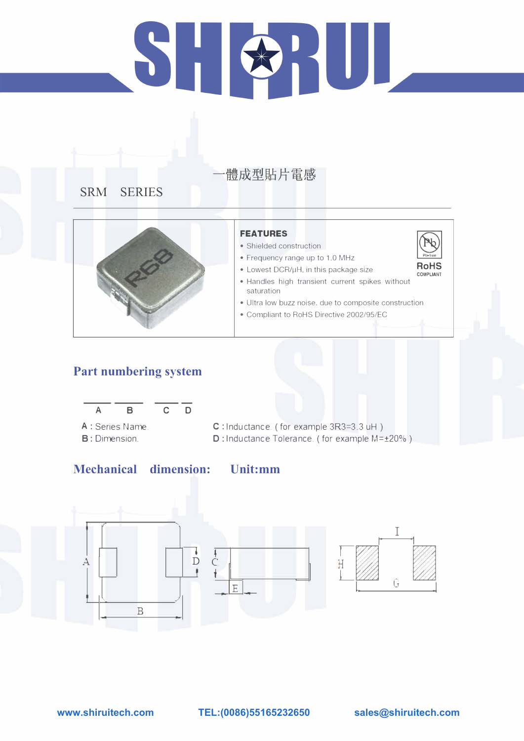# HUL  $\sum_{i=1}^{n}$

# 體成型貼片電感

# **SRM SERIES**



# **Part numbering system**



# **Mechanical dimension:**

- Shielded construction
- Frequency range up to 1.0 MHz
- Lowest DCR/µH, in this package size

## **FEATURES**

- A : Series Name. **B**: Dimension.
- C : Inductance. ( for example 3R3=3 .3 uH ) D: Inductance Tolerance. ( for example M=±20%)





- Handles high transient current spikes without saturation
- Ultra low buzz noise, due to composite construction
- Compliant to RoHS Directive 2002/95/EC

**Unit:mm**